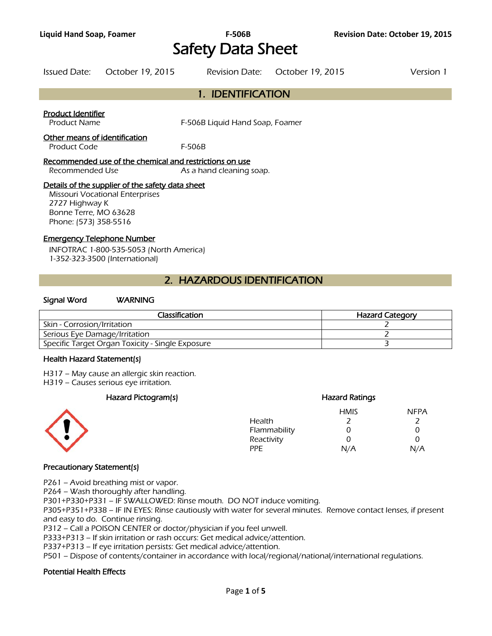# **Liquid Hand Soap, Foamer F-506B Revision Date: October 19, 2015**  Safety Data Sheet

| Issued Date: | October 19, 2015 | Revision Date: October 19, 2015 | Version 1 |
|--------------|------------------|---------------------------------|-----------|
|              |                  |                                 |           |

# 1. IDENTIFICATION

#### Product Identifier

Product Name **F-506B Liquid Hand Soap, Foamer** 

#### Other means of identification

Product Code F-506B

#### Recommended use of the chemical and restrictions on use

Recommended Use As a hand cleaning soap.

#### Details of the supplier of the safety data sheet

Missouri Vocational Enterprises 2727 Highway K Bonne Terre, MO 63628 Phone: (573) 358-5516

#### Emergency Telephone Number

INFOTRAC 1-800-535-5053 (North America) 1-352-323-3500 (International)

# 2. HAZARDOUS IDENTIFICATION

#### Signal Word WARNING

| <b>Classification</b>                            | <b>Hazard Category</b> |
|--------------------------------------------------|------------------------|
| Skin - Corrosion/Irritation                      |                        |
| Serious Eye Damage/Irritation                    |                        |
| Specific Target Organ Toxicity - Single Exposure |                        |
|                                                  |                        |

#### Health Hazard Statement(s)

H317 – May cause an allergic skin reaction.

H319 – Causes serious eye irritation.

## Hazard Pictogram(s) extending the extending Hazard Ratings



#### HMIS NFPA Health 2 2 Flammability 0 0 0 Reactivity 0 0 0 PPE N/A N/A

## Precautionary Statement(s)

P261 – Avoid breathing mist or vapor.

P264 – Wash thoroughly after handling.

P301+P330+P331 – IF SWALLOWED: Rinse mouth. DO NOT induce vomiting.

P305+P351+P338 – IF IN EYES: Rinse cautiously with water for several minutes. Remove contact lenses, if present and easy to do. Continue rinsing.

P312 – Call a POISON CENTER or doctor/physician if you feel unwell.

P333+P313 – If skin irritation or rash occurs: Get medical advice/attention.

P337+P313 – If eye irritation persists: Get medical advice/attention.

P501 – Dispose of contents/container in accordance with local/regional/national/international regulations.

## Potential Health Effects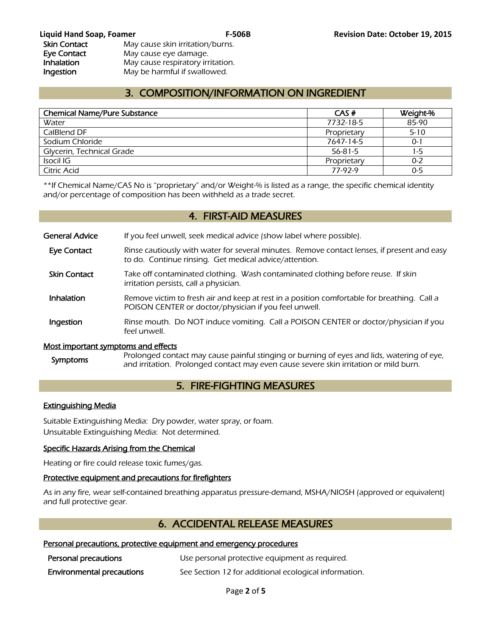# 3. COMPOSITION/INFORMATION ON INGREDIENT

| <b>Chemical Name/Pure Substance</b> | CAS#        | Weight-% |
|-------------------------------------|-------------|----------|
| Water                               | 7732-18-5   | 85-90    |
| CalBlend DF                         | Proprietary | $5 - 10$ |
| Sodium Chloride                     | 7647-14-5   | $0 - 1$  |
| Glycerin, Technical Grade           | 56-81-5     | 1-5      |
| Isocil IG                           | Proprietary | 0-2      |
| Citric Acid                         | 77-92-9     | $0 - 5$  |
|                                     |             |          |

\*\*If Chemical Name/CAS No is "proprietary" and/or Weight-% is listed as a range, the specific chemical identity and/or percentage of composition has been withheld as a trade secret.

# 4. FIRST-AID MEASURES

General Advice If you feel unwell, seek medical advice (show label where possible).

- Eye Contact Rinse cautiously with water for several minutes. Remove contact lenses, if present and easy to do. Continue rinsing. Get medical advice/attention.
- Skin Contact Take off contaminated clothing. Wash contaminated clothing before reuse. If skin irritation persists, call a physician.
- **Inhalation** Remove victim to fresh air and keep at rest in a position comfortable for breathing. Call a POISON CENTER or doctor/physician if you feel unwell.
- **Ingestion** Rinse mouth. Do NOT induce vomiting. Call a POISON CENTER or doctor/physician if you feel unwell.

## Most important symptoms and effects

Symptoms Prolonged contact may cause painful stinging or burning of eyes and lids, watering of eye, and irritation. Prolonged contact may even cause severe skin irritation or mild burn.

# 5. FIRE-FIGHTING MEASURES

## Extinguishing Media

Suitable Extinguishing Media: Dry powder, water spray, or foam. Unsuitable Extinguishing Media: Not determined.

## Specific Hazards Arising from the Chemical

Heating or fire could release toxic fumes/gas.

## Protective equipment and precautions for firefighters

As in any fire, wear self-contained breathing apparatus pressure-demand, MSHA/NIOSH (approved or equivalent) and full protective gear.

# 6. ACCIDENTAL RELEASE MEASURES

## Personal precautions, protective equipment and emergency procedures

| Personal precautions             | Use personal protective equipment as required.        |
|----------------------------------|-------------------------------------------------------|
| <b>Environmental precautions</b> | See Section 12 for additional ecological information. |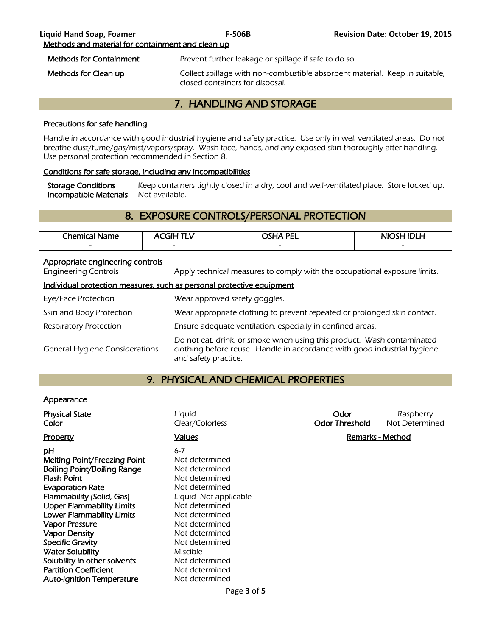# 7. HANDLING AND STORAGE

## Precautions for safe handling

Handle in accordance with good industrial hygiene and safety practice. Use only in well ventilated areas. Do not breathe dust/fume/gas/mist/vapors/spray. Wash face, hands, and any exposed skin thoroughly after handling. Use personal protection recommended in Section 8.

## Conditions for safe storage, including any incompatibilities

Storage Conditions Keep containers tightly closed in a dry, cool and well-ventilated place. Store locked up. Incompatible Materials Not available.

# 8. EXPOSURE CONTROLS/PERSONAL PROTECTION

| <b>Chemical</b> i<br>Name | 71 H                     | <b>OSHA PEL</b>          | NIOSH IDI H              |
|---------------------------|--------------------------|--------------------------|--------------------------|
| $\overline{\phantom{a}}$  | $\overline{\phantom{0}}$ | $\overline{\phantom{a}}$ | $\overline{\phantom{0}}$ |
|                           |                          |                          |                          |

## Appropriate engineering controls

Engineering Controls Apply technical measures to comply with the occupational exposure limits.

## Individual protection measures, such as personal protective equipment

| Eye/Face Protection                   | Wear approved safety goggles.                                                                                                                                              |
|---------------------------------------|----------------------------------------------------------------------------------------------------------------------------------------------------------------------------|
| Skin and Body Protection              | Wear appropriate clothing to prevent repeated or prolonged skin contact.                                                                                                   |
| Respiratory Protection                | Ensure adequate ventilation, especially in confined areas.                                                                                                                 |
| <b>General Hygiene Considerations</b> | Do not eat, drink, or smoke when using this product. Wash contaminated<br>clothing before reuse. Handle in accordance with good industrial hygiene<br>and safety practice. |

# 9. PHYSICAL AND CHEMICAL PROPERTIES

## **Appearance**

| <b>Physical State</b><br>Color                                                                                                                                                                                                                                                                                                                                                                        | Liquid<br>Clear/Colorless                                                                                                                                                                                                                          | Odor<br><b>Odor Threshold</b> | Raspberry<br>Not Determined |
|-------------------------------------------------------------------------------------------------------------------------------------------------------------------------------------------------------------------------------------------------------------------------------------------------------------------------------------------------------------------------------------------------------|----------------------------------------------------------------------------------------------------------------------------------------------------------------------------------------------------------------------------------------------------|-------------------------------|-----------------------------|
| <b>Property</b>                                                                                                                                                                                                                                                                                                                                                                                       | Values                                                                                                                                                                                                                                             | Remarks - Method              |                             |
| рH<br>Melting Point/Freezing Point<br><b>Boiling Point/Boiling Range</b><br><b>Flash Point</b><br><b>Evaporation Rate</b><br>Flammability (Solid, Gas)<br><b>Upper Flammability Limits</b><br><b>Lower Flammability Limits</b><br><b>Vapor Pressure</b><br><b>Vapor Density</b><br><b>Specific Gravity</b><br><b>Water Solubility</b><br>Solubility in other solvents<br><b>Partition Coefficient</b> | $6 - 7$<br>Not determined<br>Not determined<br>Not determined<br>Not determined<br>Liquid-Not applicable<br>Not determined<br>Not determined<br>Not determined<br>Not determined<br>Not determined<br>Miscible<br>Not determined<br>Not determined |                               |                             |
| <b>Auto-ignition Temperature</b>                                                                                                                                                                                                                                                                                                                                                                      | Not determined                                                                                                                                                                                                                                     |                               |                             |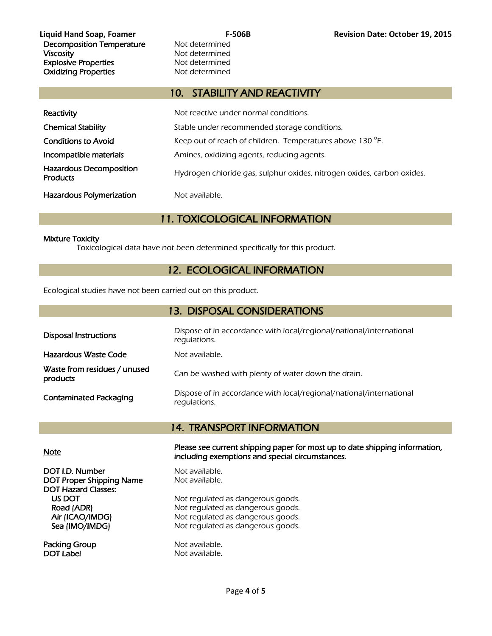Decomposition Temperature Mot determined Viscosity **Not determined** Explosive Properties<br>
Oxidizina Properties<br>
Oxidizina Properties<br>
Not determined **Oxidizing Properties** 

# 10. STABILITY AND REACTIVITY

| Reactivity                                        | Not reactive under normal conditions.                                  |
|---------------------------------------------------|------------------------------------------------------------------------|
| <b>Chemical Stability</b>                         | Stable under recommended storage conditions.                           |
| <b>Conditions to Avoid</b>                        | Keep out of reach of children. Temperatures above 130 °F.              |
| Incompatible materials                            | Amines, oxidizing agents, reducing agents.                             |
| <b>Hazardous Decomposition</b><br><b>Products</b> | Hydrogen chloride gas, sulphur oxides, nitrogen oxides, carbon oxides. |
| <b>Hazardous Polymerization</b>                   | Not available.                                                         |

# 11. TOXICOLOGICAL INFORMATION

#### Mixture Toxicity

Toxicological data have not been determined specifically for this product.

# 12. ECOLOGICAL INFORMATION

Ecological studies have not been carried out on this product.

| 13. DISPOSAL CONSIDERATIONS              |                                                                                     |  |  |  |
|------------------------------------------|-------------------------------------------------------------------------------------|--|--|--|
| <b>Disposal Instructions</b>             | Dispose of in accordance with local/regional/national/international<br>regulations. |  |  |  |
| Hazardous Waste Code                     | Not available.                                                                      |  |  |  |
| Waste from residues / unused<br>products | Can be washed with plenty of water down the drain.                                  |  |  |  |
| <b>Contaminated Packaging</b>            | Dispose of in accordance with local/regional/national/international<br>regulations. |  |  |  |

# 14. TRANSPORT INFORMATION

DOT I.D. Number Not available. DOT Proper Shipping Name Not available. DOT Hazard Classes:

Packing Group Not available. DOT Label Not available.

Note Please see current shipping paper for most up to date shipping information, including exemptions and special circumstances.

US DOT Not regulated as dangerous goods.<br>
Road (ADR) Not regulated as dangerous goods. Not regulated as dangerous goods. Air (ICAO/IMDG) Not regulated as dangerous goods. Sea (IMO/IMDG) Not regulated as dangerous goods.